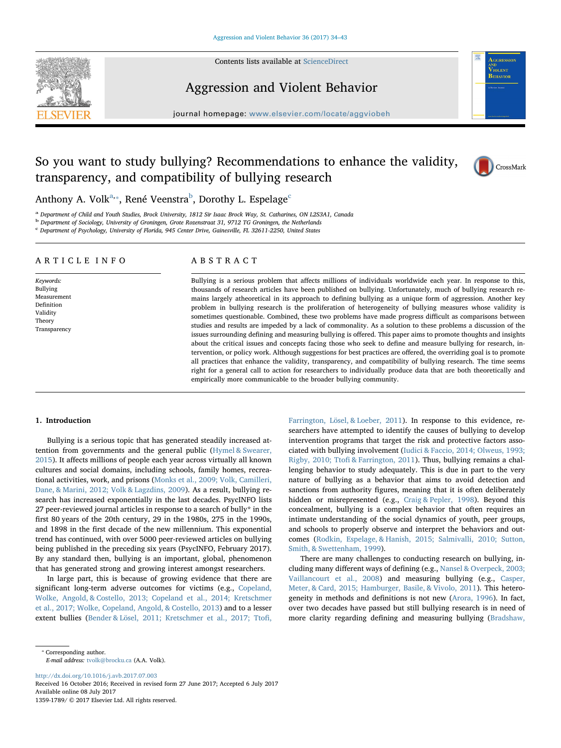

Contents lists available at [ScienceDirect](http://www.sciencedirect.com/science/journal/13591789)

# Aggression and Violent Behavior

 $j$ ornal homepage: www.elsevier.com/locate/aggluobeheer.com/locate/aggluobeheer.com/locate/aggluobeheer.com/locate/aggluobeheer.com/locate/aggluobeheer.com/locate/aggluobeheer.com/locate/aggluobeheer.com/locate/aggluobehe

# So you want to study bullying? Recommendations to enhance the validity, transparency, and compatibility of bullying research



V<sub>IOLENT</sub> BEHAVIOR

Anthony A. Volk<sup>[a](#page-0-0),</sup>\*, René Veenstra<sup>[b](#page-0-2)</sup>, Dorothy L. Espelage<sup>[c](#page-0-3)</sup>

<span id="page-0-0"></span><sup>a</sup> Department of Child and Youth Studies, Brock University, 1812 Sir Isaac Brock Way, St. Catharines, ON L2S3A1, Canada

<span id="page-0-2"></span><sup>b</sup> Department of Sociology, University of Groningen, Grote Rozenstraat 31, 9712 TG Groningen, the Netherlands

<span id="page-0-3"></span> $c$  Department of Psychology, University of Florida, 945 Center Drive, Gainesville, FL 32611-2250, United States

## ARTICLE INFO

Keywords: Bullying Measurement Definition Validity Theory Transparency

## ABSTRACT

Bullying is a serious problem that affects millions of individuals worldwide each year. In response to this, thousands of research articles have been published on bullying. Unfortunately, much of bullying research remains largely atheoretical in its approach to defining bullying as a unique form of aggression. Another key problem in bullying research is the proliferation of heterogeneity of bullying measures whose validity is sometimes questionable. Combined, these two problems have made progress difficult as comparisons between studies and results are impeded by a lack of commonality. As a solution to these problems a discussion of the issues surrounding defining and measuring bullying is offered. This paper aims to promote thoughts and insights about the critical issues and concepts facing those who seek to define and measure bullying for research, intervention, or policy work. Although suggestions for best practices are offered, the overriding goal is to promote all practices that enhance the validity, transparency, and compatibility of bullying research. The time seems right for a general call to action for researchers to individually produce data that are both theoretically and empirically more communicable to the broader bullying community.

#### 1. Introduction

Bullying is a serious topic that has generated steadily increased attention from governments and the general public [\(Hymel & Swearer,](#page--1-0) [2015\)](#page--1-0). It affects millions of people each year across virtually all known cultures and social domains, including schools, family homes, recreational activities, work, and prisons ([Monks et al., 2009; Volk, Camilleri,](#page--1-1) [Dane, & Marini, 2012; Volk & Lagzdins, 2009\)](#page--1-1). As a result, bullying research has increased exponentially in the last decades. PsycINFO lists 27 peer-reviewed journal articles in response to a search of bully\* in the first 80 years of the 20th century, 29 in the 1980s, 275 in the 1990s, and 1898 in the first decade of the new millennium. This exponential trend has continued, with over 5000 peer-reviewed articles on bullying being published in the preceding six years (PsycINFO, February 2017). By any standard then, bullying is an important, global, phenomenon that has generated strong and growing interest amongst researchers.

In large part, this is because of growing evidence that there are significant long-term adverse outcomes for victims (e.g., [Copeland,](#page--1-2) [Wolke, Angold, & Costello, 2013; Copeland et al., 2014; Kretschmer](#page--1-2) [et al., 2017; Wolke, Copeland, Angold, & Costello, 2013](#page--1-2)) and to a lesser extent bullies ([Bender & Lösel, 2011; Kretschmer et al., 2017; Tto](#page--1-3)fi,

[Farrington, Lösel, & Loeber, 2011](#page--1-3)). In response to this evidence, researchers have attempted to identify the causes of bullying to develop intervention programs that target the risk and protective factors associated with bullying involvement ([Iudici & Faccio, 2014; Olweus, 1993;](#page--1-4) Rigby, 2010; Ttofi [& Farrington, 2011\)](#page--1-4). Thus, bullying remains a challenging behavior to study adequately. This is due in part to the very nature of bullying as a behavior that aims to avoid detection and sanctions from authority figures, meaning that it is often deliberately hidden or misrepresented (e.g., [Craig & Pepler, 1998\)](#page--1-5). Beyond this concealment, bullying is a complex behavior that often requires an intimate understanding of the social dynamics of youth, peer groups, and schools to properly observe and interpret the behaviors and outcomes [\(Rodkin, Espelage, & Hanish, 2015; Salmivalli, 2010; Sutton,](#page--1-6) [Smith, & Swettenham, 1999\)](#page--1-6).

There are many challenges to conducting research on bullying, including many different ways of defining (e.g., [Nansel & Overpeck, 2003;](#page--1-7) [Vaillancourt et al., 2008](#page--1-7)) and measuring bullying (e.g., [Casper,](#page--1-8) [Meter, & Card, 2015; Hamburger, Basile, & Vivolo, 2011](#page--1-8)). This heterogeneity in methods and definitions is not new [\(Arora, 1996\)](#page--1-9). In fact, over two decades have passed but still bullying research is in need of more clarity regarding defining and measuring bullying ([Bradshaw,](#page--1-10)

E-mail address: [tvolk@brocku.ca](mailto:tvolk@brocku.ca) (A.A. Volk).

<http://dx.doi.org/10.1016/j.avb.2017.07.003> Received 16 October 2016; Received in revised form 27 June 2017; Accepted 6 July 2017

Available online 08 July 2017 1359-1789/ © 2017 Elsevier Ltd. All rights reserved.

<span id="page-0-1"></span><sup>⁎</sup> Corresponding author.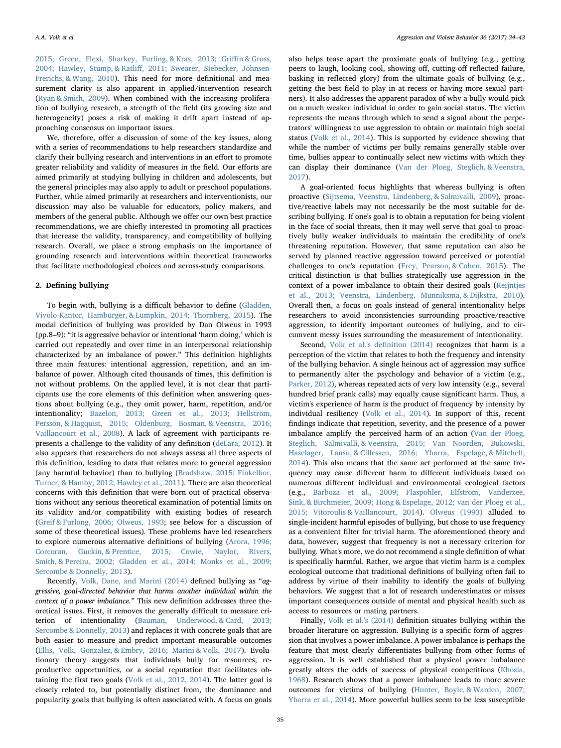[2015; Green, Flexi, Sharkey, Furling, & Kras, 2013; Gri](#page--1-10)ffin & Gross, 2004; Hawley, Stump, & Ratliff[, 2011; Swearer, Siebecker, Johnsen-](#page--1-10)[Frerichs, & Wang, 2010\)](#page--1-10). This need for more definitional and measurement clarity is also apparent in applied/intervention research ([Ryan & Smith, 2009\)](#page--1-11). When combined with the increasing proliferation of bullying research, a strength of the field (its growing size and heterogeneity) poses a risk of making it drift apart instead of approaching consensus on important issues.

We, therefore, offer a discussion of some of the key issues, along with a series of recommendations to help researchers standardize and clarify their bullying research and interventions in an effort to promote greater reliability and validity of measures in the field. Our efforts are aimed primarily at studying bullying in children and adolescents, but the general principles may also apply to adult or preschool populations. Further, while aimed primarily at researchers and interventionists, our discussion may also be valuable for educators, policy makers, and members of the general public. Although we offer our own best practice recommendations, we are chiefly interested in promoting all practices that increase the validity, transparency, and compatibility of bullying research. Overall, we place a strong emphasis on the importance of grounding research and interventions within theoretical frameworks that facilitate methodological choices and across-study comparisons.

### 2. Defining bullying

To begin with, bullying is a difficult behavior to define [\(Gladden,](#page--1-12) [Vivolo-Kantor, Hamburger, & Lumpkin, 2014; Thornberg, 2015](#page--1-12)). The modal definition of bullying was provided by Dan Olweus in 1993 (pp.8–9): "it is aggressive behavior or intentional 'harm doing,' which is carried out repeatedly and over time in an interpersonal relationship characterized by an imbalance of power." This definition highlights three main features: intentional aggression, repetition, and an imbalance of power. Although cited thousands of times, this definition is not without problems. On the applied level, it is not clear that participants use the core elements of this definition when answering questions about bullying (e.g., they omit power, harm, repetition, and/or intentionality; [Bazelon, 2013; Green et al., 2013; Hellström,](#page--1-13) [Persson, & Hagquist, 2015; Oldenburg, Bosman, & Veenstra, 2016;](#page--1-13) [Vaillancourt et al., 2008](#page--1-13)). A lack of agreement with participants represents a challenge to the validity of any definition [\(deLara, 2012\)](#page--1-14). It also appears that researchers do not always assess all three aspects of this definition, leading to data that relates more to general aggression (any harmful behavior) than to bullying [\(Bradshaw, 2015; Finkelhor,](#page--1-10) [Turner, & Hamby, 2012; Hawley et al., 2011](#page--1-10)). There are also theoretical concerns with this definition that were born out of practical observations without any serious theoretical examination of potential limits on its validity and/or compatibility with existing bodies of research ([Greif & Furlong, 2006; Olweus, 1993](#page--1-15); see below for a discussion of some of these theoretical issues). These problems have led researchers to explore numerous alternative definitions of bullying ([Arora, 1996;](#page--1-9) [Corcoran, Guckin, & Prentice, 2015; Cowie, Naylor, Rivers,](#page--1-9) [Smith, & Pereira, 2002; Gladden et al., 2014; Monks et al., 2009;](#page--1-9) [Sercombe & Donnelly, 2013](#page--1-9)).

Recently, [Volk, Dane, and Marini \(2014\)](#page--1-16) defined bullying as "aggressive, goal-directed behavior that harms another individual within the context of a power imbalance." This new definition addresses three theoretical issues. First, it removes the generally difficult to measure criterion of intentionality [\(Bauman, Underwood, & Card, 2013;](#page--1-17) [Sercombe & Donnelly, 2013\)](#page--1-17) and replaces it with concrete goals that are both easier to measure and predict important measurable outcomes ([Ellis, Volk, Gonzalez, & Embry, 2016; Marini & Volk, 2017](#page--1-18)). Evolutionary theory suggests that individuals bully for resources, reproductive opportunities, or a social reputation that facilitates obtaining the first two goals [\(Volk et al., 2012, 2014](#page--1-19)). The latter goal is closely related to, but potentially distinct from, the dominance and popularity goals that bullying is often associated with. A focus on goals also helps tease apart the proximate goals of bullying (e.g., getting peers to laugh, looking cool, showing off, cutting-off reflected failure, basking in reflected glory) from the ultimate goals of bullying (e.g., getting the best field to play in at recess or having more sexual partners). It also addresses the apparent paradox of why a bully would pick on a much weaker individual in order to gain social status. The victim represents the means through which to send a signal about the perpetrators' willingness to use aggression to obtain or maintain high social status ([Volk et al., 2014](#page--1-16)). This is supported by evidence showing that while the number of victims per bully remains generally stable over time, bullies appear to continually select new victims with which they can display their dominance [\(Van der Ploeg, Steglich, & Veenstra,](#page--1-20) [2017\)](#page--1-20).

A goal-oriented focus highlights that whereas bullying is often proactive ([Sijtsema, Veenstra, Lindenberg, & Salmivalli, 2009\)](#page--1-21), proactive/reactive labels may not necessarily be the most suitable for describing bullying. If one's goal is to obtain a reputation for being violent in the face of social threats, then it may well serve that goal to proactively bully weaker individuals to maintain the credibility of one's threatening reputation. However, that same reputation can also be served by planned reactive aggression toward perceived or potential challenges to one's reputation [\(Frey, Pearson, & Cohen, 2015\)](#page--1-22). The critical distinction is that bullies strategically use aggression in the context of a power imbalance to obtain their desired goals [\(Reijntjes](#page--1-23) [et al., 2013; Veenstra, Lindenberg, Munniksma, & Dijkstra, 2010](#page--1-23)). Overall then, a focus on goals instead of general intentionality helps researchers to avoid inconsistencies surrounding proactive/reactive aggression, to identify important outcomes of bullying, and to circumvent messy issues surrounding the measurement of intentionality.

Second, [Volk et al.'s de](#page--1-16)finition (2014) recognizes that harm is a perception of the victim that relates to both the frequency and intensity of the bullying behavior. A single heinous act of aggression may suffice to permanently alter the psychology and behavior of a victim (e.g., [Parker, 2012\)](#page--1-24), whereas repeated acts of very low intensity (e.g., several hundred brief prank calls) may equally cause significant harm. Thus, a victim's experience of harm is the product of frequency by intensity by individual resiliency ([Volk et al., 2014\)](#page--1-16). In support of this, recent findings indicate that repetition, severity, and the presence of a power imbalance amplify the perceived harm of an action [\(Van der Ploeg,](#page--1-25) [Steglich, Salmivalli, & Veenstra, 2015; Van Noorden, Bukowski,](#page--1-25) [Haselager, Lansu, & Cillessen, 2016; Ybarra, Espelage, & Mitchell,](#page--1-25) [2014\)](#page--1-25). This also means that the same act performed at the same frequency may cause different harm to different individuals based on numerous different individual and environmental ecological factors (e.g., [Barboza et al., 2009; Flaspohler, Elfstrom, Vanderzee,](#page--1-26) [Sink, & Birchmeier, 2009; Hong & Espelage, 2012; van der Ploeg et al.,](#page--1-26) [2015; Vitoroulis & Vaillancourt, 2014\)](#page--1-26). [Olweus \(1993\)](#page--1-27) alluded to single-incident harmful episodes of bullying, but chose to use frequency as a convenient filter for trivial harm. The aforementioned theory and data, however, suggest that frequency is not a necessary criterion for bullying. What's more, we do not recommend a single definition of what is specifically harmful. Rather, we argue that victim harm is a complex ecological outcome that traditional definitions of bullying often fail to address by virtue of their inability to identify the goals of bullying behaviors. We suggest that a lot of research underestimates or misses important consequences outside of mental and physical health such as access to resources or mating partners.

Finally, [Volk et al.'s \(2014\)](#page--1-16) definition situates bullying within the broader literature on aggression. Bullying is a specific form of aggression that involves a power imbalance. A power imbalance is perhaps the feature that most clearly differentiates bullying from other forms of aggression. It is well established that a physical power imbalance greatly alters the odds of success of physical competitions ([Khosla,](#page--1-28) [1968\)](#page--1-28). Research shows that a power imbalance leads to more severe outcomes for victims of bullying ([Hunter, Boyle, & Warden, 2007;](#page--1-29) [Ybarra et al., 2014\)](#page--1-29). More powerful bullies seem to be less susceptible